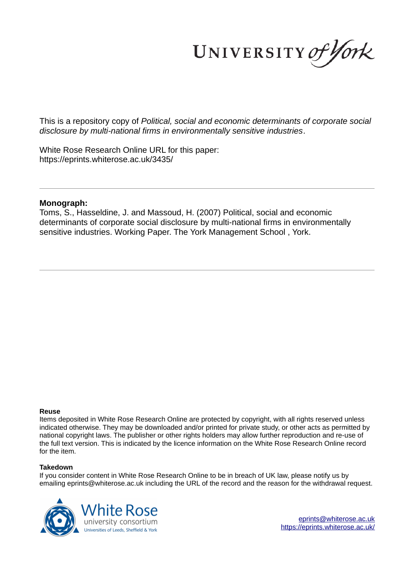UNIVERSITY of York

This is a repository copy of *Political, social and economic determinants of corporate social disclosure by multi-national firms in environmentally sensitive industries*.

White Rose Research Online URL for this paper: https://eprints.whiterose.ac.uk/3435/

#### **Monograph:**

Toms, S., Hasseldine, J. and Massoud, H. (2007) Political, social and economic determinants of corporate social disclosure by multi-national firms in environmentally sensitive industries. Working Paper. The York Management School , York.

#### **Reuse**

Items deposited in White Rose Research Online are protected by copyright, with all rights reserved unless indicated otherwise. They may be downloaded and/or printed for private study, or other acts as permitted by national copyright laws. The publisher or other rights holders may allow further reproduction and re-use of the full text version. This is indicated by the licence information on the White Rose Research Online record for the item.

#### **Takedown**

If you consider content in White Rose Research Online to be in breach of UK law, please notify us by emailing eprints@whiterose.ac.uk including the URL of the record and the reason for the withdrawal request.



eprints@whiterose.ac.uk https://eprints.whiterose.ac.uk/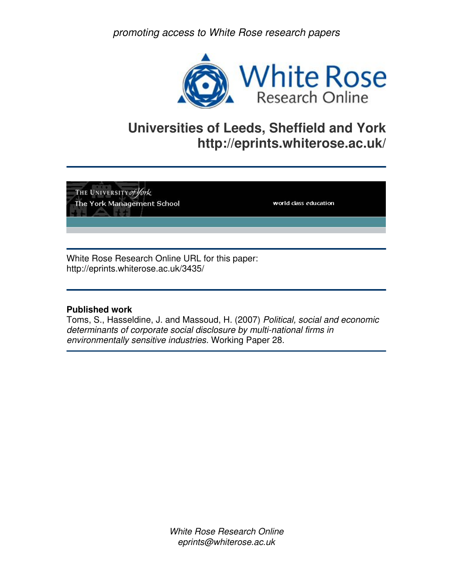promoting access to White Rose research papers



# **Universities of Leeds, Sheffield and York http://eprints.whiterose.ac.uk/**

THE UNIVERSITY of York The York Management School

world class education

White Rose Research Online URL for this paper: http://eprints.whiterose.ac.uk/3435/

### **Published work**

Toms, S., Hasseldine, J. and Massoud, H. (2007) Political, social and economic determinants of corporate social disclosure by multi-national firms in environmentally sensitive industries. Working Paper 28.

> White Rose Research Online eprints@whiterose.ac.uk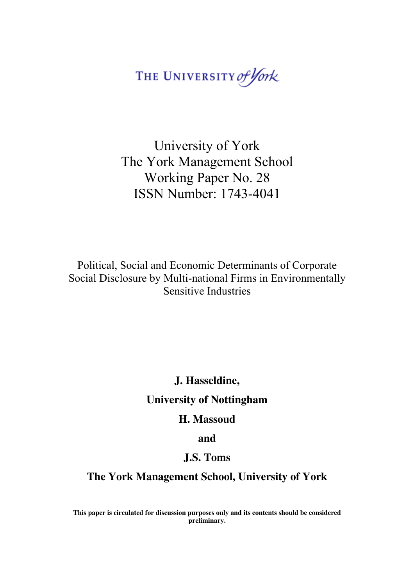THE UNIVERSITY of York

University of York The York Management School Working Paper No. 28 ISSN Number: 1743-4041

Political, Social and Economic Determinants of Corporate Social Disclosure by Multi-national Firms in Environmentally Sensitive Industries

**J. Hasseldine,** 

**University of Nottingham** 

**H. Massoud** 

**and** 

## **J.S. Toms**

**The York Management School, University of York** 

**This paper is circulated for discussion purposes only and its contents should be considered preliminary.**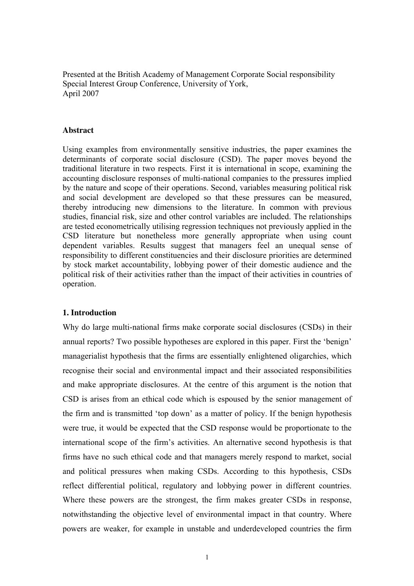Presented at the British Academy of Management Corporate Social responsibility Special Interest Group Conference, University of York, April 2007

#### **Abstract**

Using examples from environmentally sensitive industries, the paper examines the determinants of corporate social disclosure (CSD). The paper moves beyond the traditional literature in two respects. First it is international in scope, examining the accounting disclosure responses of multi-national companies to the pressures implied by the nature and scope of their operations. Second, variables measuring political risk and social development are developed so that these pressures can be measured, thereby introducing new dimensions to the literature. In common with previous studies, financial risk, size and other control variables are included. The relationships are tested econometrically utilising regression techniques not previously applied in the CSD literature but nonetheless more generally appropriate when using count dependent variables. Results suggest that managers feel an unequal sense of responsibility to different constituencies and their disclosure priorities are determined by stock market accountability, lobbying power of their domestic audience and the political risk of their activities rather than the impact of their activities in countries of operation.

#### **1. Introduction**

Why do large multi-national firms make corporate social disclosures (CSDs) in their annual reports? Two possible hypotheses are explored in this paper. First the 'benign' managerialist hypothesis that the firms are essentially enlightened oligarchies, which recognise their social and environmental impact and their associated responsibilities and make appropriate disclosures. At the centre of this argument is the notion that CSD is arises from an ethical code which is espoused by the senior management of the firm and is transmitted 'top down' as a matter of policy. If the benign hypothesis were true, it would be expected that the CSD response would be proportionate to the international scope of the firm's activities. An alternative second hypothesis is that firms have no such ethical code and that managers merely respond to market, social and political pressures when making CSDs. According to this hypothesis, CSDs reflect differential political, regulatory and lobbying power in different countries. Where these powers are the strongest, the firm makes greater CSDs in response, notwithstanding the objective level of environmental impact in that country. Where powers are weaker, for example in unstable and underdeveloped countries the firm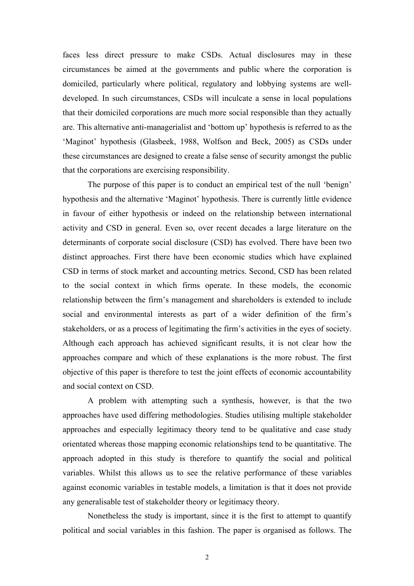faces less direct pressure to make CSDs. Actual disclosures may in these circumstances be aimed at the governments and public where the corporation is domiciled, particularly where political, regulatory and lobbying systems are welldeveloped. In such circumstances, CSDs will inculcate a sense in local populations that their domiciled corporations are much more social responsible than they actually are. This alternative anti-managerialist and 'bottom up' hypothesis is referred to as the 'Maginot' hypothesis (Glasbeek, 1988, Wolfson and Beck, 2005) as CSDs under these circumstances are designed to create a false sense of security amongst the public that the corporations are exercising responsibility.

 The purpose of this paper is to conduct an empirical test of the null 'benign' hypothesis and the alternative 'Maginot' hypothesis. There is currently little evidence in favour of either hypothesis or indeed on the relationship between international activity and CSD in general. Even so, over recent decades a large literature on the determinants of corporate social disclosure (CSD) has evolved. There have been two distinct approaches. First there have been economic studies which have explained CSD in terms of stock market and accounting metrics. Second, CSD has been related to the social context in which firms operate. In these models, the economic relationship between the firm's management and shareholders is extended to include social and environmental interests as part of a wider definition of the firm's stakeholders, or as a process of legitimating the firm's activities in the eyes of society. Although each approach has achieved significant results, it is not clear how the approaches compare and which of these explanations is the more robust. The first objective of this paper is therefore to test the joint effects of economic accountability and social context on CSD.

 A problem with attempting such a synthesis, however, is that the two approaches have used differing methodologies. Studies utilising multiple stakeholder approaches and especially legitimacy theory tend to be qualitative and case study orientated whereas those mapping economic relationships tend to be quantitative. The approach adopted in this study is therefore to quantify the social and political variables. Whilst this allows us to see the relative performance of these variables against economic variables in testable models, a limitation is that it does not provide any generalisable test of stakeholder theory or legitimacy theory.

 Nonetheless the study is important, since it is the first to attempt to quantify political and social variables in this fashion. The paper is organised as follows. The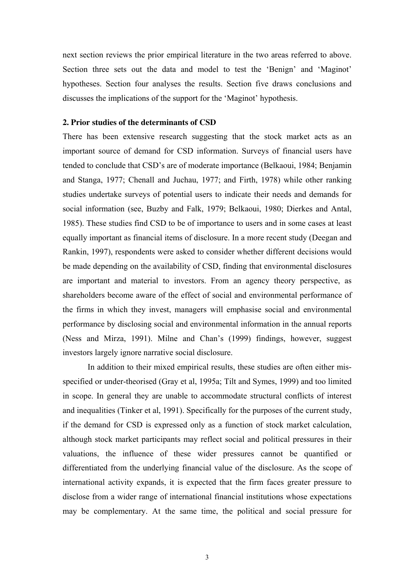next section reviews the prior empirical literature in the two areas referred to above. Section three sets out the data and model to test the 'Benign' and 'Maginot' hypotheses. Section four analyses the results. Section five draws conclusions and discusses the implications of the support for the 'Maginot' hypothesis.

#### **2. Prior studies of the determinants of CSD**

There has been extensive research suggesting that the stock market acts as an important source of demand for CSD information. Surveys of financial users have tended to conclude that CSD's are of moderate importance (Belkaoui, 1984; Benjamin and Stanga, 1977; Chenall and Juchau, 1977; and Firth, 1978) while other ranking studies undertake surveys of potential users to indicate their needs and demands for social information (see, Buzby and Falk, 1979; Belkaoui, 1980; Dierkes and Antal, 1985). These studies find CSD to be of importance to users and in some cases at least equally important as financial items of disclosure. In a more recent study (Deegan and Rankin, 1997), respondents were asked to consider whether different decisions would be made depending on the availability of CSD, finding that environmental disclosures are important and material to investors. From an agency theory perspective, as shareholders become aware of the effect of social and environmental performance of the firms in which they invest, managers will emphasise social and environmental performance by disclosing social and environmental information in the annual reports (Ness and Mirza, 1991). Milne and Chan's (1999) findings, however, suggest investors largely ignore narrative social disclosure.

In addition to their mixed empirical results, these studies are often either misspecified or under-theorised (Gray et al, 1995a; Tilt and Symes, 1999) and too limited in scope. In general they are unable to accommodate structural conflicts of interest and inequalities (Tinker et al, 1991). Specifically for the purposes of the current study, if the demand for CSD is expressed only as a function of stock market calculation, although stock market participants may reflect social and political pressures in their valuations, the influence of these wider pressures cannot be quantified or differentiated from the underlying financial value of the disclosure. As the scope of international activity expands, it is expected that the firm faces greater pressure to disclose from a wider range of international financial institutions whose expectations may be complementary. At the same time, the political and social pressure for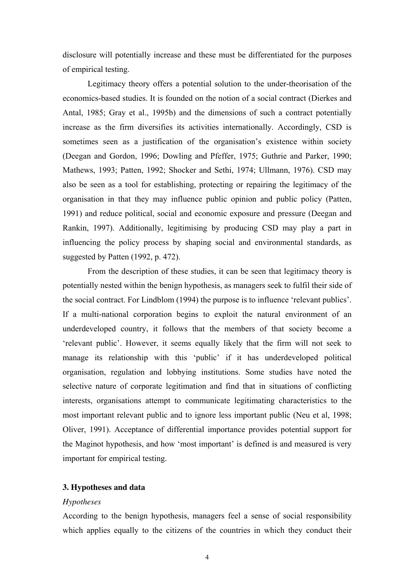disclosure will potentially increase and these must be differentiated for the purposes of empirical testing.

Legitimacy theory offers a potential solution to the under-theorisation of the economics-based studies. It is founded on the notion of a social contract (Dierkes and Antal, 1985; Gray et al., 1995b) and the dimensions of such a contract potentially increase as the firm diversifies its activities internationally. Accordingly, CSD is sometimes seen as a justification of the organisation's existence within society (Deegan and Gordon, 1996; Dowling and Pfeffer, 1975; Guthrie and Parker, 1990; Mathews, 1993; Patten, 1992; Shocker and Sethi, 1974; Ullmann, 1976). CSD may also be seen as a tool for establishing, protecting or repairing the legitimacy of the organisation in that they may influence public opinion and public policy (Patten, 1991) and reduce political, social and economic exposure and pressure (Deegan and Rankin, 1997). Additionally, legitimising by producing CSD may play a part in influencing the policy process by shaping social and environmental standards, as suggested by Patten (1992, p. 472).

From the description of these studies, it can be seen that legitimacy theory is potentially nested within the benign hypothesis, as managers seek to fulfil their side of the social contract. For Lindblom (1994) the purpose is to influence 'relevant publics'. If a multi-national corporation begins to exploit the natural environment of an underdeveloped country, it follows that the members of that society become a 'relevant public'. However, it seems equally likely that the firm will not seek to manage its relationship with this 'public' if it has underdeveloped political organisation, regulation and lobbying institutions. Some studies have noted the selective nature of corporate legitimation and find that in situations of conflicting interests, organisations attempt to communicate legitimating characteristics to the most important relevant public and to ignore less important public (Neu et al, 1998; Oliver, 1991). Acceptance of differential importance provides potential support for the Maginot hypothesis, and how 'most important' is defined is and measured is very important for empirical testing.

#### **3. Hypotheses and data**

#### *Hypotheses*

According to the benign hypothesis, managers feel a sense of social responsibility which applies equally to the citizens of the countries in which they conduct their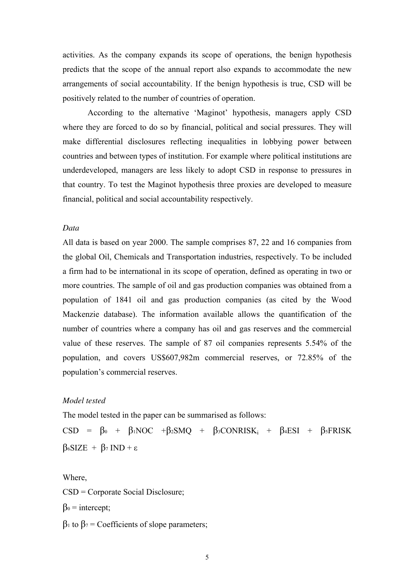activities. As the company expands its scope of operations, the benign hypothesis predicts that the scope of the annual report also expands to accommodate the new arrangements of social accountability. If the benign hypothesis is true, CSD will be positively related to the number of countries of operation.

 According to the alternative 'Maginot' hypothesis, managers apply CSD where they are forced to do so by financial, political and social pressures. They will make differential disclosures reflecting inequalities in lobbying power between countries and between types of institution. For example where political institutions are underdeveloped, managers are less likely to adopt CSD in response to pressures in that country. To test the Maginot hypothesis three proxies are developed to measure financial, political and social accountability respectively.

#### *Data*

All data is based on year 2000. The sample comprises 87, 22 and 16 companies from the global Oil, Chemicals and Transportation industries, respectively. To be included a firm had to be international in its scope of operation, defined as operating in two or more countries. The sample of oil and gas production companies was obtained from a population of 1841 oil and gas production companies (as cited by the Wood Mackenzie database). The information available allows the quantification of the number of countries where a company has oil and gas reserves and the commercial value of these reserves. The sample of 87 oil companies represents 5.54% of the population, and covers US\$607,982m commercial reserves, or 72.85% of the population's commercial reserves.

#### *Model tested*

The model tested in the paper can be summarised as follows:

CSD =  $\beta_0$  +  $\beta_1NOC$  + $\beta_2SMQ$  +  $\beta_3CONRISK_i$  +  $\beta_4ESI$  +  $\beta_5FRISK$  $β<sub>6</sub>SIZE + β<sub>7</sub> IND + ε$ 

Where, CSD = Corporate Social Disclosure;  $\beta_0$  = intercept;  $β_1$  to  $β_7$  = Coefficients of slope parameters: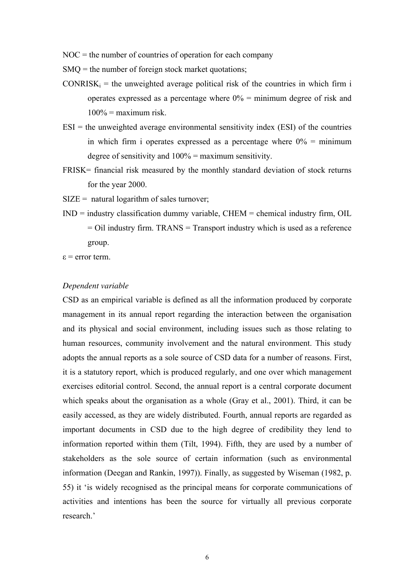$NOC$  = the number of countries of operation for each company

SMQ = the number of foreign stock market quotations;

- $CONRISK_i$  = the unweighted average political risk of the countries in which firm i operates expressed as a percentage where  $0\%$  = minimum degree of risk and  $100\%$  = maximum risk.
- $ESI =$  the unweighted average environmental sensitivity index (ESI) of the countries in which firm i operates expressed as a percentage where  $0\%$  = minimum degree of sensitivity and 100% = maximum sensitivity.
- FRISK= financial risk measured by the monthly standard deviation of stock returns for the year 2000.
- $SIZE =$  natural logarithm of sales turnover;
- $IND = industry classification dummy variable, CHEM = chemical industry firm, OIL$  $=$  Oil industry firm. TRANS  $=$  Transport industry which is used as a reference group.
- ε = error term.

#### *Dependent variable*

CSD as an empirical variable is defined as all the information produced by corporate management in its annual report regarding the interaction between the organisation and its physical and social environment, including issues such as those relating to human resources, community involvement and the natural environment. This study adopts the annual reports as a sole source of CSD data for a number of reasons. First, it is a statutory report, which is produced regularly, and one over which management exercises editorial control. Second, the annual report is a central corporate document which speaks about the organisation as a whole (Gray et al., 2001). Third, it can be easily accessed, as they are widely distributed. Fourth, annual reports are regarded as important documents in CSD due to the high degree of credibility they lend to information reported within them (Tilt, 1994). Fifth, they are used by a number of stakeholders as the sole source of certain information (such as environmental information (Deegan and Rankin, 1997)). Finally, as suggested by Wiseman (1982, p. 55) it 'is widely recognised as the principal means for corporate communications of activities and intentions has been the source for virtually all previous corporate research.'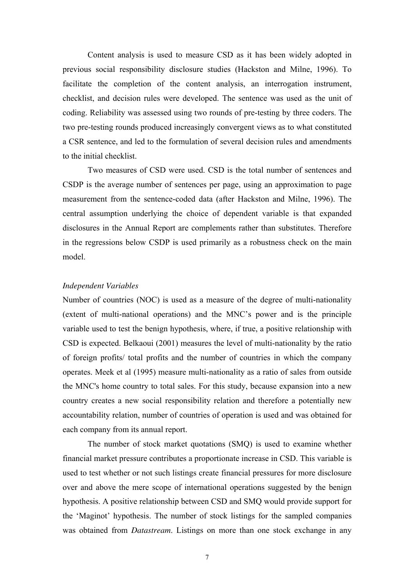Content analysis is used to measure CSD as it has been widely adopted in previous social responsibility disclosure studies (Hackston and Milne, 1996). To facilitate the completion of the content analysis, an interrogation instrument, checklist, and decision rules were developed. The sentence was used as the unit of coding. Reliability was assessed using two rounds of pre-testing by three coders. The two pre-testing rounds produced increasingly convergent views as to what constituted a CSR sentence, and led to the formulation of several decision rules and amendments to the initial checklist.

Two measures of CSD were used. CSD is the total number of sentences and CSDP is the average number of sentences per page, using an approximation to page measurement from the sentence-coded data (after Hackston and Milne, 1996). The central assumption underlying the choice of dependent variable is that expanded disclosures in the Annual Report are complements rather than substitutes. Therefore in the regressions below CSDP is used primarily as a robustness check on the main model.

#### *Independent Variables*

Number of countries (NOC) is used as a measure of the degree of multi-nationality (extent of multi-national operations) and the MNC's power and is the principle variable used to test the benign hypothesis, where, if true, a positive relationship with CSD is expected. Belkaoui (2001) measures the level of multi-nationality by the ratio of foreign profits/ total profits and the number of countries in which the company operates. Meek et al (1995) measure multi-nationality as a ratio of sales from outside the MNC's home country to total sales. For this study, because expansion into a new country creates a new social responsibility relation and therefore a potentially new accountability relation, number of countries of operation is used and was obtained for each company from its annual report.

The number of stock market quotations (SMQ) is used to examine whether financial market pressure contributes a proportionate increase in CSD. This variable is used to test whether or not such listings create financial pressures for more disclosure over and above the mere scope of international operations suggested by the benign hypothesis. A positive relationship between CSD and SMQ would provide support for the 'Maginot' hypothesis. The number of stock listings for the sampled companies was obtained from *Datastream*. Listings on more than one stock exchange in any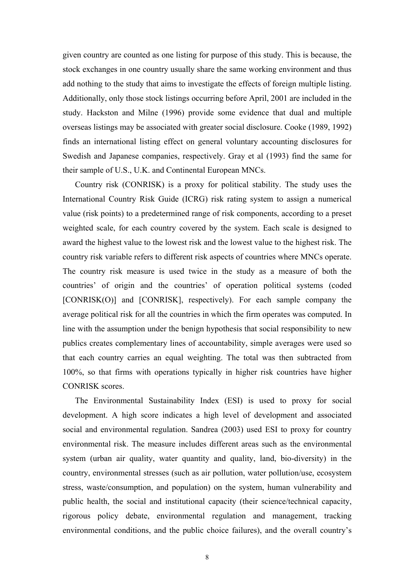given country are counted as one listing for purpose of this study. This is because, the stock exchanges in one country usually share the same working environment and thus add nothing to the study that aims to investigate the effects of foreign multiple listing. Additionally, only those stock listings occurring before April, 2001 are included in the study. Hackston and Milne (1996) provide some evidence that dual and multiple overseas listings may be associated with greater social disclosure. Cooke (1989, 1992) finds an international listing effect on general voluntary accounting disclosures for Swedish and Japanese companies, respectively. Gray et al (1993) find the same for their sample of U.S., U.K. and Continental European MNCs.

Country risk (CONRISK) is a proxy for political stability. The study uses the International Country Risk Guide (ICRG) risk rating system to assign a numerical value (risk points) to a predetermined range of risk components, according to a preset weighted scale, for each country covered by the system. Each scale is designed to award the highest value to the lowest risk and the lowest value to the highest risk. The country risk variable refers to different risk aspects of countries where MNCs operate. The country risk measure is used twice in the study as a measure of both the countries' of origin and the countries' of operation political systems (coded [CONRISK(O)] and [CONRISK], respectively). For each sample company the average political risk for all the countries in which the firm operates was computed. In line with the assumption under the benign hypothesis that social responsibility to new publics creates complementary lines of accountability, simple averages were used so that each country carries an equal weighting. The total was then subtracted from 100%, so that firms with operations typically in higher risk countries have higher CONRISK scores.

The Environmental Sustainability Index (ESI) is used to proxy for social development. A high score indicates a high level of development and associated social and environmental regulation. Sandrea (2003) used ESI to proxy for country environmental risk. The measure includes different areas such as the environmental system (urban air quality, water quantity and quality, land, bio-diversity) in the country, environmental stresses (such as air pollution, water pollution/use, ecosystem stress, waste/consumption, and population) on the system, human vulnerability and public health, the social and institutional capacity (their science/technical capacity, rigorous policy debate, environmental regulation and management, tracking environmental conditions, and the public choice failures), and the overall country's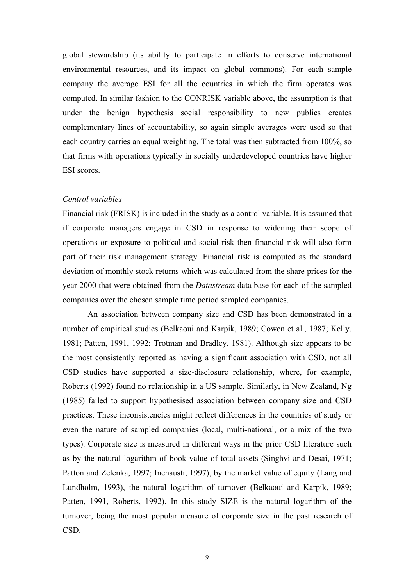global stewardship (its ability to participate in efforts to conserve international environmental resources, and its impact on global commons). For each sample company the average ESI for all the countries in which the firm operates was computed. In similar fashion to the CONRISK variable above, the assumption is that under the benign hypothesis social responsibility to new publics creates complementary lines of accountability, so again simple averages were used so that each country carries an equal weighting. The total was then subtracted from 100%, so that firms with operations typically in socially underdeveloped countries have higher ESI scores.

#### *Control variables*

Financial risk (FRISK) is included in the study as a control variable. It is assumed that if corporate managers engage in CSD in response to widening their scope of operations or exposure to political and social risk then financial risk will also form part of their risk management strategy. Financial risk is computed as the standard deviation of monthly stock returns which was calculated from the share prices for the year 2000 that were obtained from the *Datastream* data base for each of the sampled companies over the chosen sample time period sampled companies.

An association between company size and CSD has been demonstrated in a number of empirical studies (Belkaoui and Karpik, 1989; Cowen et al., 1987; Kelly, 1981; Patten, 1991, 1992; Trotman and Bradley, 1981). Although size appears to be the most consistently reported as having a significant association with CSD, not all CSD studies have supported a size-disclosure relationship, where, for example, Roberts (1992) found no relationship in a US sample. Similarly, in New Zealand, Ng (1985) failed to support hypothesised association between company size and CSD practices. These inconsistencies might reflect differences in the countries of study or even the nature of sampled companies (local, multi-national, or a mix of the two types). Corporate size is measured in different ways in the prior CSD literature such as by the natural logarithm of book value of total assets (Singhvi and Desai, 1971; Patton and Zelenka, 1997; Inchausti, 1997), by the market value of equity (Lang and Lundholm, 1993), the natural logarithm of turnover (Belkaoui and Karpik, 1989; Patten, 1991, Roberts, 1992). In this study SIZE is the natural logarithm of the turnover, being the most popular measure of corporate size in the past research of CSD.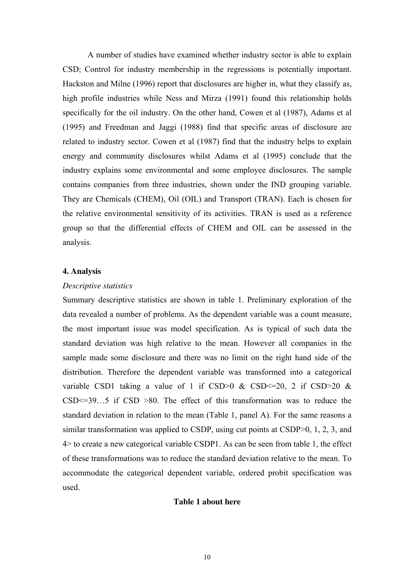A number of studies have examined whether industry sector is able to explain CSD; Control for industry membership in the regressions is potentially important. Hackston and Milne (1996) report that disclosures are higher in, what they classify as, high profile industries while Ness and Mirza (1991) found this relationship holds specifically for the oil industry. On the other hand, Cowen et al (1987), Adams et al (1995) and Freedman and Jaggi (1988) find that specific areas of disclosure are related to industry sector. Cowen et al (1987) find that the industry helps to explain energy and community disclosures whilst Adams et al (1995) conclude that the industry explains some environmental and some employee disclosures. The sample contains companies from three industries, shown under the IND grouping variable. They are Chemicals (CHEM), Oil (OIL) and Transport (TRAN). Each is chosen for the relative environmental sensitivity of its activities. TRAN is used as a reference group so that the differential effects of CHEM and OIL can be assessed in the analysis.

#### **4. Analysis**

#### *Descriptive statistics*

Summary descriptive statistics are shown in table 1. Preliminary exploration of the data revealed a number of problems. As the dependent variable was a count measure, the most important issue was model specification. As is typical of such data the standard deviation was high relative to the mean. However all companies in the sample made some disclosure and there was no limit on the right hand side of the distribution. Therefore the dependent variable was transformed into a categorical variable CSD1 taking a value of 1 if CSD>0 & CSD<=20, 2 if CSD>20 &  $CSD \le 39...5$  if  $CSD > 80$ . The effect of this transformation was to reduce the standard deviation in relation to the mean (Table 1, panel A). For the same reasons a similar transformation was applied to CSDP, using cut points at CSDP>0, 1, 2, 3, and 4> to create a new categorical variable CSDP1. As can be seen from table 1, the effect of these transformations was to reduce the standard deviation relative to the mean. To accommodate the categorical dependent variable, ordered probit specification was used.

#### **Table 1 about here**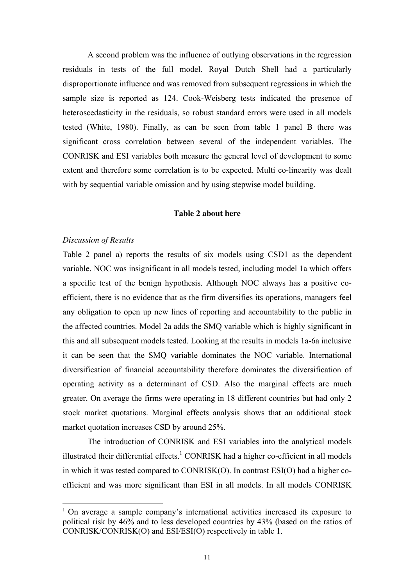A second problem was the influence of outlying observations in the regression residuals in tests of the full model. Royal Dutch Shell had a particularly disproportionate influence and was removed from subsequent regressions in which the sample size is reported as 124. Cook-Weisberg tests indicated the presence of heteroscedasticity in the residuals, so robust standard errors were used in all models tested (White, 1980). Finally, as can be seen from table 1 panel B there was significant cross correlation between several of the independent variables. The CONRISK and ESI variables both measure the general level of development to some extent and therefore some correlation is to be expected. Multi co-linearity was dealt with by sequential variable omission and by using stepwise model building.

#### **Table 2 about here**

#### *Discussion of Results*

 $\overline{a}$ 

Table 2 panel a) reports the results of six models using CSD1 as the dependent variable. NOC was insignificant in all models tested, including model 1a which offers a specific test of the benign hypothesis. Although NOC always has a positive coefficient, there is no evidence that as the firm diversifies its operations, managers feel any obligation to open up new lines of reporting and accountability to the public in the affected countries. Model 2a adds the SMQ variable which is highly significant in this and all subsequent models tested. Looking at the results in models 1a-6a inclusive it can be seen that the SMQ variable dominates the NOC variable. International diversification of financial accountability therefore dominates the diversification of operating activity as a determinant of CSD. Also the marginal effects are much greater. On average the firms were operating in 18 different countries but had only 2 stock market quotations. Marginal effects analysis shows that an additional stock market quotation increases CSD by around 25%.

 The introduction of CONRISK and ESI variables into the analytical models illustrated their differential effects.<sup>1</sup> CONRISK had a higher co-efficient in all models in which it was tested compared to CONRISK(O). In contrast ESI(O) had a higher coefficient and was more significant than ESI in all models. In all models CONRISK

<sup>1</sup> On average a sample company's international activities increased its exposure to political risk by 46% and to less developed countries by 43% (based on the ratios of CONRISK/CONRISK(O) and ESI/ESI(O) respectively in table 1.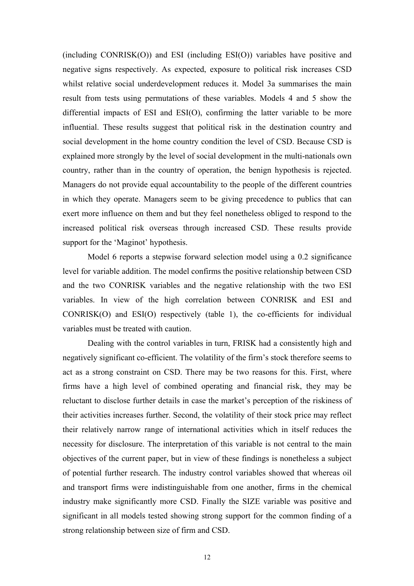(including CONRISK(O)) and ESI (including ESI(O)) variables have positive and negative signs respectively. As expected, exposure to political risk increases CSD whilst relative social underdevelopment reduces it. Model 3a summarises the main result from tests using permutations of these variables. Models 4 and 5 show the differential impacts of ESI and ESI(O), confirming the latter variable to be more influential. These results suggest that political risk in the destination country and social development in the home country condition the level of CSD. Because CSD is explained more strongly by the level of social development in the multi-nationals own country, rather than in the country of operation, the benign hypothesis is rejected. Managers do not provide equal accountability to the people of the different countries in which they operate. Managers seem to be giving precedence to publics that can exert more influence on them and but they feel nonetheless obliged to respond to the increased political risk overseas through increased CSD. These results provide support for the 'Maginot' hypothesis.

Model 6 reports a stepwise forward selection model using a 0.2 significance level for variable addition. The model confirms the positive relationship between CSD and the two CONRISK variables and the negative relationship with the two ESI variables. In view of the high correlation between CONRISK and ESI and CONRISK(O) and ESI(O) respectively (table 1), the co-efficients for individual variables must be treated with caution.

Dealing with the control variables in turn, FRISK had a consistently high and negatively significant co-efficient. The volatility of the firm's stock therefore seems to act as a strong constraint on CSD. There may be two reasons for this. First, where firms have a high level of combined operating and financial risk, they may be reluctant to disclose further details in case the market's perception of the riskiness of their activities increases further. Second, the volatility of their stock price may reflect their relatively narrow range of international activities which in itself reduces the necessity for disclosure. The interpretation of this variable is not central to the main objectives of the current paper, but in view of these findings is nonetheless a subject of potential further research. The industry control variables showed that whereas oil and transport firms were indistinguishable from one another, firms in the chemical industry make significantly more CSD. Finally the SIZE variable was positive and significant in all models tested showing strong support for the common finding of a strong relationship between size of firm and CSD.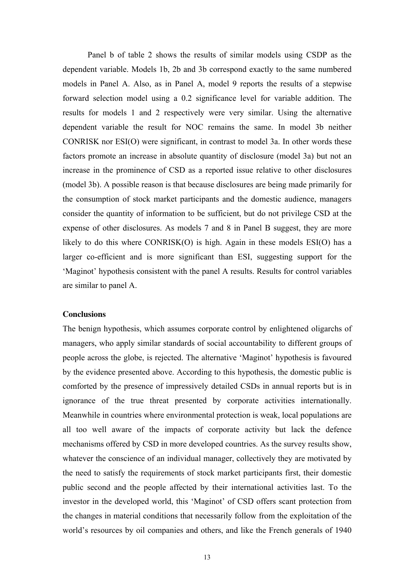Panel b of table 2 shows the results of similar models using CSDP as the dependent variable. Models 1b, 2b and 3b correspond exactly to the same numbered models in Panel A. Also, as in Panel A, model 9 reports the results of a stepwise forward selection model using a 0.2 significance level for variable addition. The results for models 1 and 2 respectively were very similar. Using the alternative dependent variable the result for NOC remains the same. In model 3b neither CONRISK nor ESI(O) were significant, in contrast to model 3a. In other words these factors promote an increase in absolute quantity of disclosure (model 3a) but not an increase in the prominence of CSD as a reported issue relative to other disclosures (model 3b). A possible reason is that because disclosures are being made primarily for the consumption of stock market participants and the domestic audience, managers consider the quantity of information to be sufficient, but do not privilege CSD at the expense of other disclosures. As models 7 and 8 in Panel B suggest, they are more likely to do this where CONRISK(O) is high. Again in these models ESI(O) has a larger co-efficient and is more significant than ESI, suggesting support for the 'Maginot' hypothesis consistent with the panel A results. Results for control variables are similar to panel A.

#### **Conclusions**

The benign hypothesis, which assumes corporate control by enlightened oligarchs of managers, who apply similar standards of social accountability to different groups of people across the globe, is rejected. The alternative 'Maginot' hypothesis is favoured by the evidence presented above. According to this hypothesis, the domestic public is comforted by the presence of impressively detailed CSDs in annual reports but is in ignorance of the true threat presented by corporate activities internationally. Meanwhile in countries where environmental protection is weak, local populations are all too well aware of the impacts of corporate activity but lack the defence mechanisms offered by CSD in more developed countries. As the survey results show, whatever the conscience of an individual manager, collectively they are motivated by the need to satisfy the requirements of stock market participants first, their domestic public second and the people affected by their international activities last. To the investor in the developed world, this 'Maginot' of CSD offers scant protection from the changes in material conditions that necessarily follow from the exploitation of the world's resources by oil companies and others, and like the French generals of 1940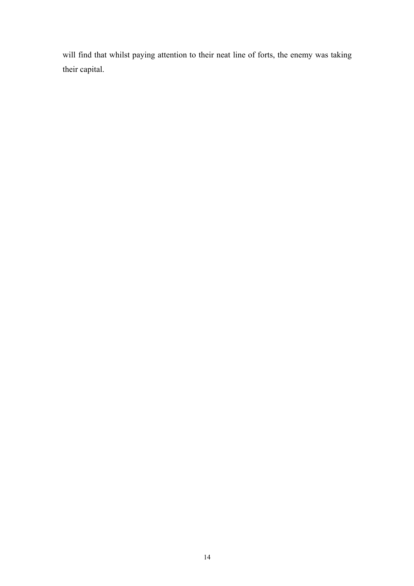will find that whilst paying attention to their neat line of forts, the enemy was taking their capital.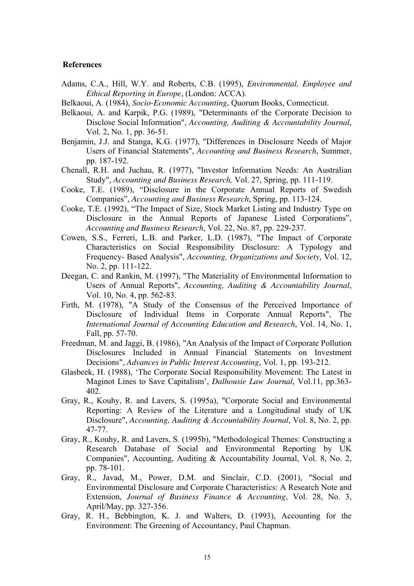#### **References**

- Adams, C.A., Hill, W.Y. and Roberts, C.B. (1995), *Environmental, Employee and Ethical Reporting in Europe*, (London: ACCA).
- Belkaoui, A. (1984), *Socio-Economic Accounting*, Quorum Books, Connecticut.
- Belkaoui, A. and Karpik, P.G. (1989), "Determinants of the Corporate Decision to Disclose Social Information", *Accounting, Auditing & Accountability Journal*, Vol. 2, No. 1, pp. 36-51.
- Benjamin, J.J. and Stanga, K.G. (1977), "Differences in Disclosure Needs of Major Users of Financial Statements", *Accounting and Business Research*, Summer, pp. 187-192.
- Chenall, R.H. and Juchau, R. (1977), "Investor Information Needs: An Australian Study", *Accounting and Business Research,* Vol. 27, Spring, pp. 111-119.
- Cooke, T.E. (1989), "Disclosure in the Corporate Annual Reports of Swedish Companies", *Accounting and Business Research*, Spring, pp. 113-124.
- Cooke, T.E. (1992), "The Impact of Size, Stock Market Listing and Industry Type on Disclosure in the Annual Reports of Japanese Listed Corporations", *Accounting and Business Research*, Vol. 22, No. 87, pp. 229-237.
- Cowen, S.S., Ferreri, L.B. and Parker, L.D. (1987), "The Impact of Corporate Characteristics on Social Responsibility Disclosure: A Typology and Frequency- Based Analysis", *Accounting, Organizations and Society*, Vol. 12, No. 2, pp. 111-122.
- Deegan, C. and Rankin, M. (1997), "The Materiality of Environmental Information to Users of Annual Reports", *Accounting, Auditing & Accountability Journal*, Vol. 10, No. 4, pp. 562-83.
- Firth, M. (1978), "A Study of the Consensus of the Perceived Importance of Disclosure of Individual Items in Corporate Annual Reports", The *International Journal of Accounting Education and Research*, Vol. 14, No. 1, Fall, pp. 57-70.
- Freedman, M. and Jaggi, B. (1986), "An Analysis of the Impact of Corporate Pollution Disclosures Included in Annual Financial Statements on Investment Decisions", *Advances in Public Interest Accounting*, Vol. 1, pp. 193-212.
- Glasbeek, H. (1988), 'The Corporate Social Responsibility Movement: The Latest in Maginot Lines to Save Capitalism', *Dalhousie Law Journal*, Vol.11, pp.363- 402.
- Gray, R., Kouhy, R. and Lavers, S. (1995a), "Corporate Social and Environmental Reporting: A Review of the Literature and a Longitudinal study of UK Disclosure", *Accounting, Auditing & Accountability Journal*, Vol. 8, No. 2, pp. 47-77.
- Gray, R., Kouhy, R. and Lavers, S. (1995b), "Methodological Themes: Constructing a Research Database of Social and Environmental Reporting by UK Companies", Accounting, Auditing & Accountability Journal, Vol. 8, No. 2, pp. 78-101.
- Gray, R., Javad, M., Power, D.M. and Sinclair, C.D. (2001), "Social and Environmental Disclosure and Corporate Characteristics: A Research Note and Extension, *Journal of Business Finance & Accounting*, Vol. 28, No. 3, April/May, pp. 327-356.
- Gray, R. H., Bebbington, K. J. and Walters, D. (1993), Accounting for the Environment: The Greening of Accountancy, Paul Chapman.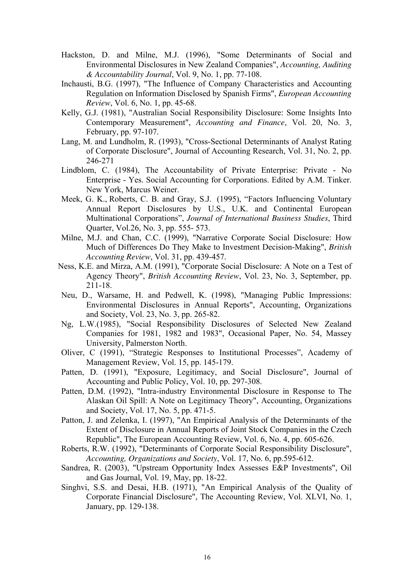- Hackston, D. and Milne, M.J. (1996), "Some Determinants of Social and Environmental Disclosures in New Zealand Companies", *Accounting, Auditing & Accountability Journal*, Vol. 9, No. 1, pp. 77-108.
- Inchausti, B.G. (1997), "The Influence of Company Characteristics and Accounting Regulation on Information Disclosed by Spanish Firms", *European Accounting Review*, Vol. 6, No. 1, pp. 45-68.
- Kelly, G.J. (1981), "Australian Social Responsibility Disclosure: Some Insights Into Contemporary Measurement", *Accounting and Finance*, Vol. 20, No. 3, February, pp. 97-107.
- Lang, M. and Lundholm, R. (1993), "Cross-Sectional Determinants of Analyst Rating of Corporate Disclosure", Journal of Accounting Research, Vol. 31, No. 2, pp. 246-271
- Lindblom, C. (1984), The Accountability of Private Enterprise: Private No Enterprise - Yes. Social Accounting for Corporations. Edited by A.M. Tinker. New York, Marcus Weiner.
- Meek, G. K., Roberts, C. B. and Gray, S.J. (1995), "Factors Influencing Voluntary Annual Report Disclosures by U.S., U.K. and Continental European Multinational Corporations", *Journal of International Business Studies*, Third Quarter, Vol.26, No. 3, pp. 555- 573.
- Milne, M.J. and Chan, C.C. (1999), "Narrative Corporate Social Disclosure: How Much of Differences Do They Make to Investment Decision-Making", *British Accounting Review*, Vol. 31, pp. 439-457.
- Ness, K.E. and Mirza, A.M. (1991), "Corporate Social Disclosure: A Note on a Test of Agency Theory", *British Accounting Review*, Vol. 23, No. 3, September, pp. 211-18.
- Neu, D., Warsame, H. and Pedwell, K. (1998), "Managing Public Impressions: Environmental Disclosures in Annual Reports", Accounting, Organizations and Society, Vol. 23, No. 3, pp. 265-82.
- Ng, L.W.(1985), "Social Responsibility Disclosures of Selected New Zealand Companies for 1981, 1982 and 1983", Occasional Paper, No. 54, Massey University, Palmerston North.
- Oliver, C (1991), "Strategic Responses to Institutional Processes", Academy of Management Review, Vol. 15, pp. 145-179.
- Patten, D. (1991), "Exposure, Legitimacy, and Social Disclosure", Journal of Accounting and Public Policy, Vol. 10, pp. 297-308.
- Patten, D.M. (1992), "Intra-industry Environmental Disclosure in Response to The Alaskan Oil Spill: A Note on Legitimacy Theory", Accounting, Organizations and Society, Vol. 17, No. 5, pp. 471-5.
- Patton, J. and Zelenka, I. (1997), "An Empirical Analysis of the Determinants of the Extent of Disclosure in Annual Reports of Joint Stock Companies in the Czech Republic", The European Accounting Review, Vol. 6, No. 4, pp. 605-626.
- Roberts, R.W. (1992), "Determinants of Corporate Social Responsibility Disclosure", *Accounting, Organizations and Society*, Vol. 17, No. 6, pp.595-612.
- Sandrea, R. (2003), "Upstream Opportunity Index Assesses E&P Investments", Oil and Gas Journal, Vol. 19, May, pp. 18-22.
- Singhvi, S.S. and Desai, H.B. (1971), "An Empirical Analysis of the Quality of Corporate Financial Disclosure", The Accounting Review, Vol. XLVI, No. 1, January, pp. 129-138.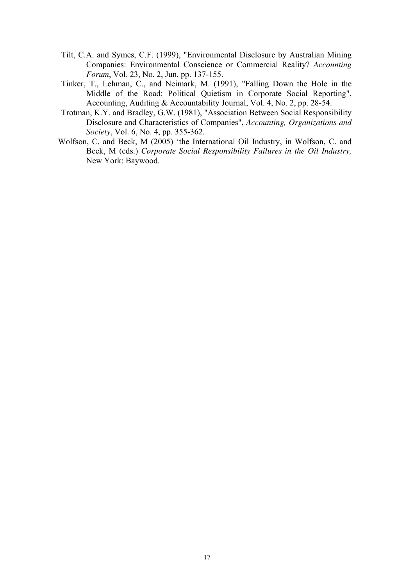- Tilt, C.A. and Symes, C.F. (1999), "Environmental Disclosure by Australian Mining Companies: Environmental Conscience or Commercial Reality? *Accounting Forum*, Vol. 23, No. 2, Jun, pp. 137-155.
- Tinker, T., Lehman, C., and Neimark, M. (1991), "Falling Down the Hole in the Middle of the Road: Political Quietism in Corporate Social Reporting", Accounting, Auditing & Accountability Journal, Vol. 4, No. 2, pp. 28-54.
- Trotman, K.Y. and Bradley, G.W. (1981), "Association Between Social Responsibility Disclosure and Characteristics of Companies", *Accounting, Organizations and Society*, Vol. 6, No. 4, pp. 355-362.
- Wolfson, C. and Beck, M (2005) 'the International Oil Industry, in Wolfson, C. and Beck, M (eds.) *Corporate Social Responsibility Failures in the Oil Industry,* New York: Baywood.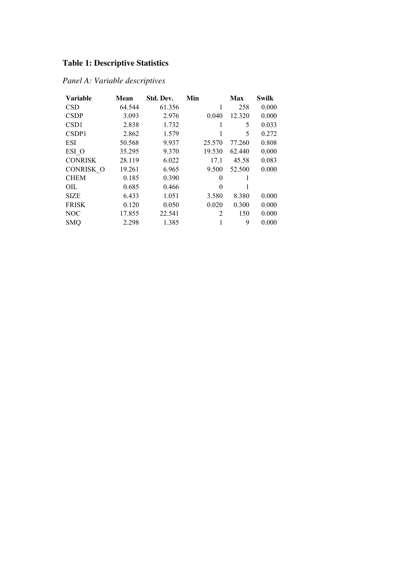## **Table 1: Descriptive Statistics**

## *Panel A: Variable descriptives*

| <b>Variable</b>  | Mean   | Std. Dev. | Min      | Max    | <b>Swilk</b> |
|------------------|--------|-----------|----------|--------|--------------|
| <b>CSD</b>       | 64.544 | 61.356    | 1        | 258    | 0.000        |
| <b>CSDP</b>      | 3.093  | 2.976     | 0.040    | 12.320 | 0.000        |
| CSD <sub>1</sub> | 2.838  | 1.732     |          | 5      | 0.033        |
| CSDP1            | 2.862  | 1.579     | 1        | 5      | 0.272        |
| <b>ESI</b>       | 50.568 | 9.937     | 25.570   | 77.260 | 0.808        |
| ESI O            | 35.295 | 9.370     | 19.530   | 62.440 | 0.000        |
| <b>CONRISK</b>   | 28.119 | 6.022     | 17.1     | 45.58  | 0.083        |
| <b>CONRISK O</b> | 19.261 | 6.965     | 9.500    | 52.500 | 0.000        |
| <b>CHEM</b>      | 0.185  | 0.390     | 0        |        |              |
| OIL              | 0.685  | 0.466     | $\Omega$ |        |              |
| <b>SIZE</b>      | 6.433  | 1.051     | 3.580    | 8.380  | 0.000        |
| <b>FRISK</b>     | 0.120  | 0.050     | 0.020    | 0.300  | 0.000        |
| NOC              | 17.855 | 22.541    | 2        | 150    | 0.000        |
| <b>SMQ</b>       | 2.298  | 1.385     | 1        | 9      | 0.000        |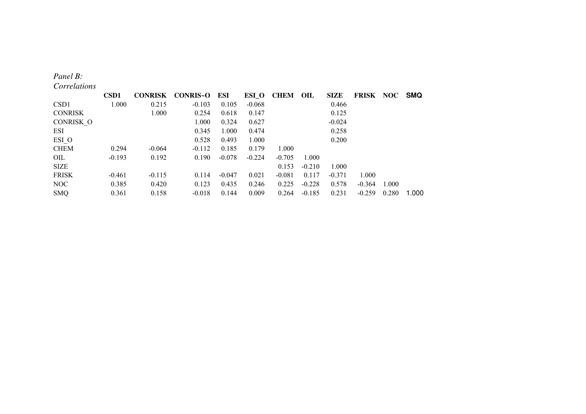#### *Panel B:*

*Correlations* 

|                  | <b>CSD1</b> | <b>CONRISK</b> | CONRIS-O | ESI      | ESI_O    | <b>CHEM OIL</b> |          | <b>SIZE</b> | <b>FRISK</b> |       | NOC SMQ |
|------------------|-------------|----------------|----------|----------|----------|-----------------|----------|-------------|--------------|-------|---------|
| CSD <sub>1</sub> | 1.000       | 0.215          | $-0.103$ | 0.105    | $-0.068$ |                 |          | 0.466       |              |       |         |
| <b>CONRISK</b>   |             | 1.000          | 0.254    | 0.618    | 0.147    |                 |          | 0.125       |              |       |         |
| CONRISK O        |             |                | 1.000    | 0.324    | 0.627    |                 |          | $-0.024$    |              |       |         |
| ESI              |             |                | 0.345    | 1.000    | 0.474    |                 |          | 0.258       |              |       |         |
| ESI O            |             |                | 0.528    | 0.493    | 1.000    |                 |          | 0.200       |              |       |         |
| <b>CHEM</b>      | 0.294       | $-0.064$       | $-0.112$ | 0.185    | 0.179    | 1.000           |          |             |              |       |         |
| OIL              | $-0.193$    | 0.192          | 0.190    | $-0.078$ | $-0.224$ | $-0.705$        | 1.000    |             |              |       |         |
| SIZE             |             |                |          |          |          | 0.153           | $-0.210$ | 1.000       |              |       |         |
| <b>FRISK</b>     | $-0.461$    | $-0.115$       | 0.114    | $-0.047$ | 0.021    | $-0.081$        | 0.117    | $-0.371$    | 1.000        |       |         |
| NOC              | 0.385       | 0.420          | 0.123    | 0.435    | 0.246    | 0.225           | $-0.228$ | 0.578       | $-0.364$     | 1.000 |         |
| <b>SMQ</b>       | 0.361       | 0.158          | $-0.018$ | 0.144    | 0.009    | 0.264           | $-0.185$ | 0.231       | $-0.259$     | 0.280 | 1.000   |